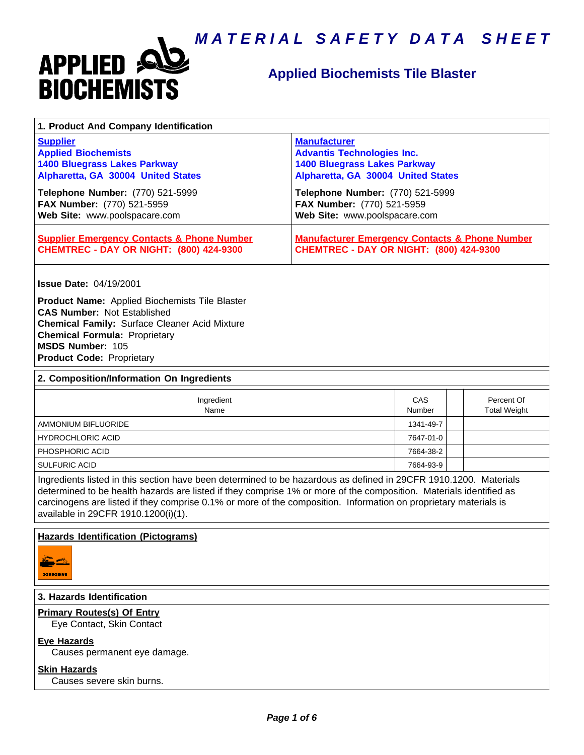

# **Applied Biochemists Tile Blaster**

| 1. Product And Company Identification                                                                                                                                                                                                                                                                                                                                                             |                                                                                                                                       |               |                                   |
|---------------------------------------------------------------------------------------------------------------------------------------------------------------------------------------------------------------------------------------------------------------------------------------------------------------------------------------------------------------------------------------------------|---------------------------------------------------------------------------------------------------------------------------------------|---------------|-----------------------------------|
| <b>Supplier</b><br><b>Applied Biochemists</b><br><b>1400 Bluegrass Lakes Parkway</b><br>Alpharetta, GA 30004 United States                                                                                                                                                                                                                                                                        | <b>Manufacturer</b><br><b>Advantis Technologies Inc.</b><br><b>1400 Bluegrass Lakes Parkway</b><br>Alpharetta, GA 30004 United States |               |                                   |
| Telephone Number: (770) 521-5999<br>FAX Number: (770) 521-5959<br>Web Site: www.poolspacare.com                                                                                                                                                                                                                                                                                                   | Telephone Number: (770) 521-5999<br>FAX Number: (770) 521-5959<br>Web Site: www.poolspacare.com                                       |               |                                   |
| <b>Supplier Emergency Contacts &amp; Phone Number</b><br><b>CHEMTREC - DAY OR NIGHT: (800) 424-9300</b>                                                                                                                                                                                                                                                                                           | <b>Manufacturer Emergency Contacts &amp; Phone Number</b><br><b>CHEMTREC - DAY OR NIGHT: (800) 424-9300</b>                           |               |                                   |
| <b>Issue Date: 04/19/2001</b>                                                                                                                                                                                                                                                                                                                                                                     |                                                                                                                                       |               |                                   |
| Product Name: Applied Biochemists Tile Blaster<br><b>CAS Number: Not Established</b><br><b>Chemical Family: Surface Cleaner Acid Mixture</b><br><b>Chemical Formula: Proprietary</b><br>MSDS Number: 105<br><b>Product Code: Proprietary</b>                                                                                                                                                      |                                                                                                                                       |               |                                   |
| 2. Composition/Information On Ingredients                                                                                                                                                                                                                                                                                                                                                         |                                                                                                                                       |               |                                   |
| Ingredient<br>Name                                                                                                                                                                                                                                                                                                                                                                                |                                                                                                                                       | CAS<br>Number | Percent Of<br><b>Total Weight</b> |
| <b>AMMONIUM BIFLUORIDE</b>                                                                                                                                                                                                                                                                                                                                                                        |                                                                                                                                       | 1341-49-7     |                                   |
| <b>HYDROCHLORIC ACID</b>                                                                                                                                                                                                                                                                                                                                                                          |                                                                                                                                       | 7647-01-0     |                                   |
| PHOSPHORIC ACID                                                                                                                                                                                                                                                                                                                                                                                   |                                                                                                                                       | 7664-38-2     |                                   |
| <b>SULFURIC ACID</b>                                                                                                                                                                                                                                                                                                                                                                              |                                                                                                                                       | 7664-93-9     |                                   |
| Ingredients listed in this section have been determined to be hazardous as defined in 29CFR 1910.1200. Materials<br>determined to be health hazards are listed if they comprise 1% or more of the composition. Materials identified as<br>carcinogens are listed if they comprise 0.1% or more of the composition. Information on proprietary materials is<br>available in 29CFR 1910.1200(i)(1). |                                                                                                                                       |               |                                   |
| <b>Hazards Identification (Pictograms)</b>                                                                                                                                                                                                                                                                                                                                                        |                                                                                                                                       |               |                                   |
| <b>CORROBIVE</b>                                                                                                                                                                                                                                                                                                                                                                                  |                                                                                                                                       |               |                                   |
| 3. Hazards Identification                                                                                                                                                                                                                                                                                                                                                                         |                                                                                                                                       |               |                                   |
| <b>Primary Routes(s) Of Entry</b><br>Eye Contact, Skin Contact                                                                                                                                                                                                                                                                                                                                    |                                                                                                                                       |               |                                   |

# **Eye Hazards**

Causes permanent eye damage.

#### **Skin Hazards**

Causes severe skin burns.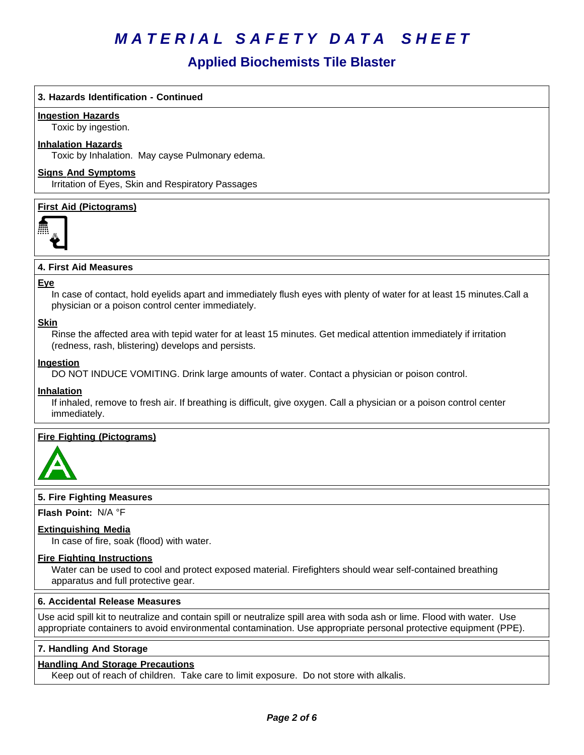# **Applied Biochemists Tile Blaster**

## **3. Hazards Identification - Continued**

## **Ingestion Hazards**

Toxic by ingestion.

## **Inhalation Hazards**

Toxic by Inhalation. May cayse Pulmonary edema.

## **Signs And Symptoms**

Irritation of Eyes, Skin and Respiratory Passages

# **First Aid (Pictograms)**



# **4. First Aid Measures**

#### **Eye**

In case of contact, hold eyelids apart and immediately flush eyes with plenty of water for at least 15 minutes.Call a physician or a poison control center immediately.

#### **Skin**

Rinse the affected area with tepid water for at least 15 minutes. Get medical attention immediately if irritation (redness, rash, blistering) develops and persists.

#### **Ingestion**

DO NOT INDUCE VOMITING. Drink large amounts of water. Contact a physician or poison control.

#### **Inhalation**

If inhaled, remove to fresh air. If breathing is difficult, give oxygen. Call a physician or a poison control center immediately.

## **Fire Fighting (Pictograms)**



## **5. Fire Fighting Measures**

**Flash Point:** N/A°F

## **Extinguishing Media**

In case of fire, soak (flood) with water.

## **Fire Fighting Instructions**

Water can be used to cool and protect exposed material. Firefighters should wear self-contained breathing apparatus and full protective gear.

#### **6.Accidental ReleaseMeasures**

Use acid spill kit to neutralize and contain spill or neutralize spill area with soda ash or lime. Flood with water. Use appropriate containers to avoid environmental contamination. Use appropriate personal protective equipment (PPE).

## **7. Handling And Storage**

## **Handling And Storage Precautions**

Keep out of reach of children. Take care to limit exposure. Do not store with alkalis.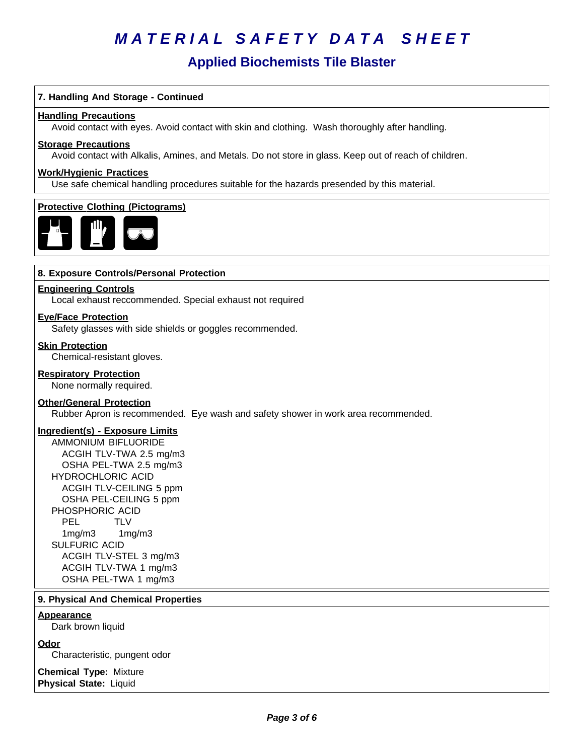# **Applied Biochemists Tile Blaster**

# **7. Handling And Storage - Continued**

#### **Handling Precautions**

Avoid contact with eyes. Avoid contact with skin and clothing. Wash thoroughly after handling.

#### **Storage Precautions**

Avoid contact with Alkalis, Amines, and Metals. Do not store in glass. Keep out of reach of children.

#### **Work/Hygienic Practices**

Use safe chemical handling procedures suitable for the hazards presended by this material.

## **Protective Clothing (Pictograms)**



#### **8. Exposure Controls/Personal Protection**

## **Engineering Controls**

Local exhaust reccommended. Special exhaust not required

#### **Eye/Face Protection**

Safety glasses with side shields or goggles recommended.

#### **Skin Protection**

Chemical-resistant gloves.

# **Respiratory Protection**

None normally required.

# **Other/General Protection**

Rubber Apron is recommended. Eye wash and safety shower in work area recommended.

# **Ingredient(s) - Exposure Limits**

AMMONIUM BIFLUORIDE ACGIH TLV-TWA 2.5 mg/m3 OSHA PEL-TWA 2.5 mg/m3 HYDROCHLORIC ACID ACGIH TLV-CEILING 5 ppm OSHA PEL-CEILING 5 ppm PHOSPHORIC ACID PEL TLV 1mg/m3 1mg/m3 SULFURIC ACID ACGIH TLV-STEL 3 mg/m3 ACGIH TLV-TWA 1 mg/m3 OSHA PEL-TWA 1 mg/m3

#### **9. Physical And Chemical Properties**

#### **Appearance**

Dark brown liquid

## **Odor**

Characteristic, pungent odor

**Chemical Type:** Mixture **Physical State:** Liquid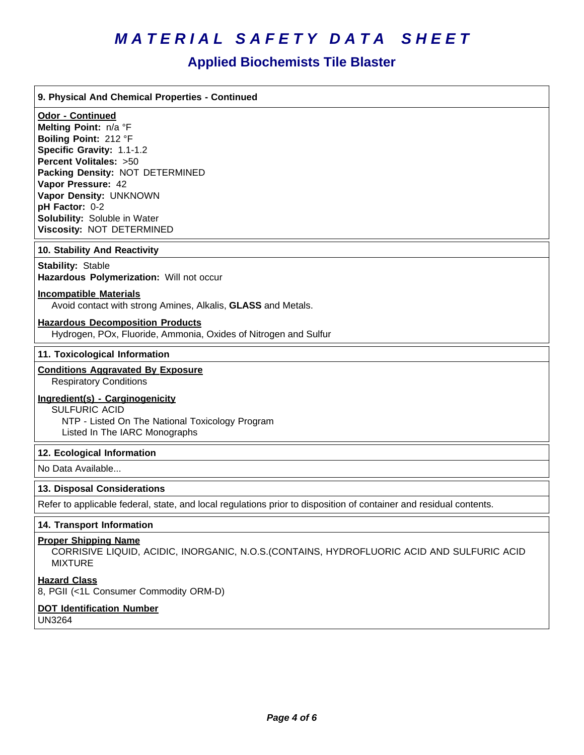# **Applied Biochemists Tile Blaster**

#### **9. Physical And Chemical Properties - Continued**

# **Odor - Continued**

**Melting Point:** n/a°F **Boiling Point:** 212°F **Specific Gravity:** 1.1-1.2 **Percent Volitales:** >50 **Packing Density:** NOT DETERMINED **Vapor Pressure:** 42 **Vapor Density:** UNKNOWN **pH Factor:** 0-2 **Solubility:** Soluble in Water **Viscosity: NOT DETERMINED** 

#### **10. Stability And Reactivity**

## **Stability: Stable**

**Hazardous Polymerization: Will not occur** 

#### **Incompatible Materials**

Avoid contact with strong Amines, Alkalis, **GLASS** and Metals.

#### **Hazardous Decomposition Products**

Hydrogen, POx, Fluoride, Ammonia, Oxides of Nitrogen and Sulfur

#### **11. Toxicological Information**

## **Conditions Aggravated By Exposure**

Respiratory Conditions

## **Ingredient(s) - Carginogenicity**

SULFURIC ACID NTP - Listed On The National Toxicology Program Listed In The IARC Monographs

#### **12. Ecological Information**

No Data Available...

#### **13. Disposal Considerations**

Refer to applicable federal, state, and local regulations prior to disposition of container and residual contents.

#### **14. Transport Information**

#### **Proper Shipping Name**

CORRISIVE LIQUID, ACIDIC, INORGANIC, N.O.S.(CONTAINS, HYDROFLUORIC ACID AND SULFURIC ACID MIXTURE

#### **Hazard Class**

8, PGII (<1L Consumer Commodity ORM-D)

# **DOT Identification Number**

UN3264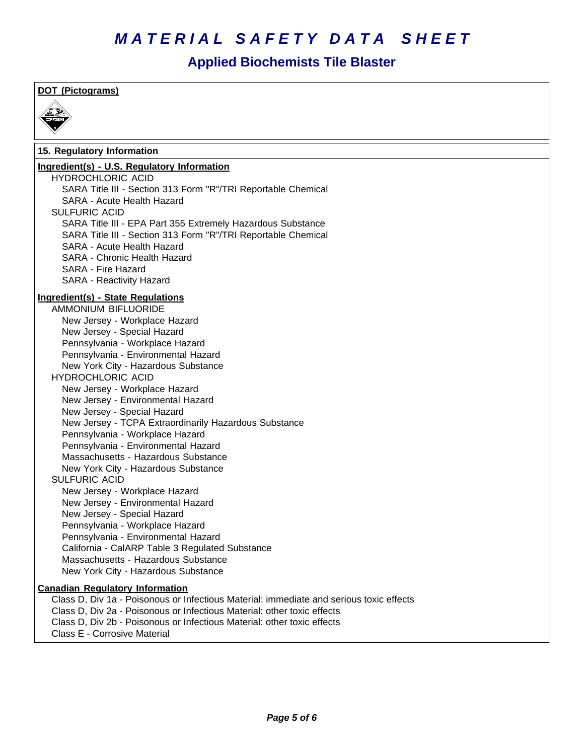# **Applied Biochemists Tile Blaster**

# **DOT (Pictograms)**



# **15. Regulatory Information**

# **Ingredient(s) - U.S. Regulatory Information**

HYDROCHLORIC ACID SARA Title III - Section 313 Form "R"/TRI Reportable Chemical SARA - Acute Health Hazard SULFURIC ACID SARA Title III - EPA Part 355 Extremely Hazardous Substance SARA Title III - Section 313 Form "R"/TRI Reportable Chemical SARA - Acute Health Hazard SARA - Chronic Health Hazard SARA - Fire Hazard SARA - Reactivity Hazard **Ingredient(s) - State Regulations** AMMONIUM BIFLUORIDE New Jersey - Workplace Hazard NewJersey -Special Hazard Pennsylvania - Workplace Hazard Pennsylvania - Environmental Hazard New York City - Hazardous Substance HYDROCHLORIC ACID New Jersey - Workplace Hazard New Jersey - Environmental Hazard NewJersey -Special Hazard New Jersey - TCPA Extraordinarily Hazardous Substance Pennsylvania - Workplace Hazard Pennsylvania - Environmental Hazard Massachusetts - Hazardous Substance New York City - Hazardous Substance SULFURIC ACID New Jersey - Workplace Hazard New Jersey - Environmental Hazard New Jersey - Special Hazard Pennsylvania - Workplace Hazard Pennsylvania - Environmental Hazard California - CalARP Table 3 Regulated Substance Massachusetts - Hazardous Substance New York City - Hazardous Substance **Canadian Regulatory Information** Class D, Div 1a - Poisonous or Infectious Material: immediate and serious toxic effects Class D, Div 2a - Poisonous or Infectious Material: other toxic effects Class D, Div 2b - Poisonous or Infectious Material: other toxic effects

Class E - Corrosive Material